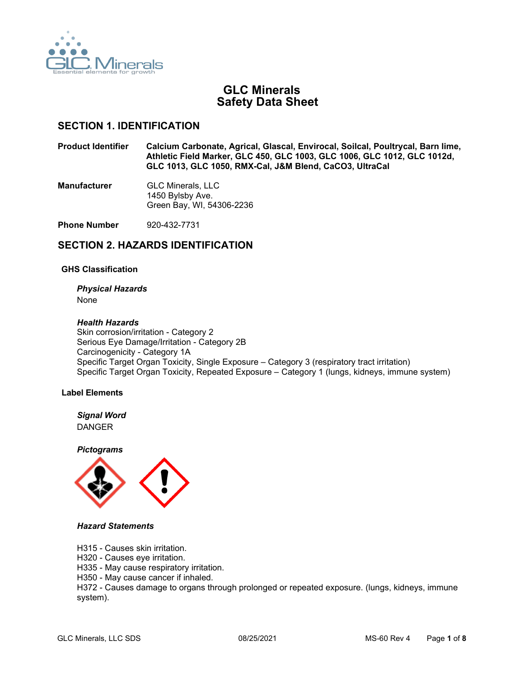

# **GLC Minerals Safety Data Sheet**

## **SECTION 1. IDENTIFICATION**

**Product Identifier Calcium Carbonate, Agrical, Glascal, Envirocal, Soilcal, Poultrycal, Barn lime, Athletic Field Marker, GLC 450, GLC 1003, GLC 1006, GLC 1012, GLC 1012d, GLC 1013, GLC 1050, RMX-Cal, J&M Blend, CaCO3, UltraCal**

**Manufacturer** GLC Minerals, LLC 1450 Bylsby Ave. Green Bay, WI, 54306-2236

**Phone Number** 920-432-7731

## **SECTION 2. HAZARDS IDENTIFICATION**

#### **GHS Classification**

*Physical Hazards*

None

#### *Health Hazards*

Skin corrosion/irritation - Category 2 Serious Eye Damage/Irritation - Category 2B Carcinogenicity - Category 1A Specific Target Organ Toxicity, Single Exposure – Category 3 (respiratory tract irritation) Specific Target Organ Toxicity, Repeated Exposure – Category 1 (lungs, kidneys, immune system)

### **Label Elements**

*Signal Word* DANGER

*Pictograms*



#### *Hazard Statements*

- H315 Causes skin irritation.
- H320 Causes eye irritation.
- H335 May cause respiratory irritation.
- H350 May cause cancer if inhaled.

H372 - Causes damage to organs through prolonged or repeated exposure. (lungs, kidneys, immune system).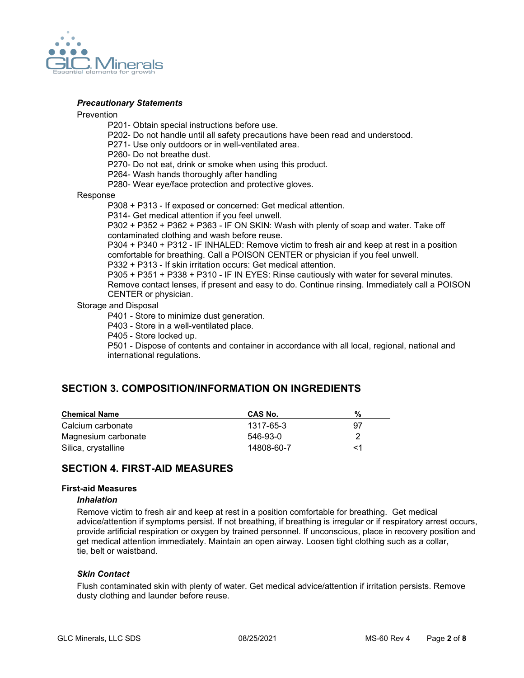

#### *Precautionary Statements*

#### Prevention

- P201- Obtain special instructions before use.
- P202- Do not handle until all safety precautions have been read and understood.
- P271- Use only outdoors or in well-ventilated area.

P260- Do not breathe dust.

- P270- Do not eat, drink or smoke when using this product.
- P264- Wash hands thoroughly after handling
- P280- Wear eye/face protection and protective gloves.

#### Response

P308 + P313 - If exposed or concerned: Get medical attention.

P314- Get medical attention if you feel unwell.

P302 + P352 + P362 + P363 - IF ON SKIN: Wash with plenty of soap and water. Take off contaminated clothing and wash before reuse.

P304 + P340 + P312 - IF INHALED: Remove victim to fresh air and keep at rest in a position comfortable for breathing. Call a POISON CENTER or physician if you feel unwell.

P332 + P313 - If skin irritation occurs: Get medical attention.

P305 + P351 + P338 + P310 - IF IN EYES: Rinse cautiously with water for several minutes. Remove contact lenses, if present and easy to do. Continue rinsing. Immediately call a POISON CENTER or physician.

### Storage and Disposal

P401 - Store to minimize dust generation.

P403 - Store in a well-ventilated place.

P405 - Store locked up.

P501 - Dispose of contents and container in accordance with all local, regional, national and international regulations.

## **SECTION 3. COMPOSITION/INFORMATION ON INGREDIENTS**

| <b>Chemical Name</b> | CAS No.    | %  |
|----------------------|------------|----|
| Calcium carbonate    | 1317-65-3  | 97 |
| Magnesium carbonate  | 546-93-0   |    |
| Silica, crystalline  | 14808-60-7 | <1 |

## **SECTION 4. FIRST-AID MEASURES**

#### **First-aid Measures**

#### *Inhalation*

Remove victim to fresh air and keep at rest in a position comfortable for breathing. Get medical advice/attention if symptoms persist. If not breathing, if breathing is irregular or if respiratory arrest occurs, provide artificial respiration or oxygen by trained personnel. If unconscious, place in recovery position and get medical attention immediately. Maintain an open airway. Loosen tight clothing such as a collar, tie, belt or waistband.

#### *Skin Contact*

Flush contaminated skin with plenty of water. Get medical advice/attention if irritation persists. Remove dusty clothing and launder before reuse.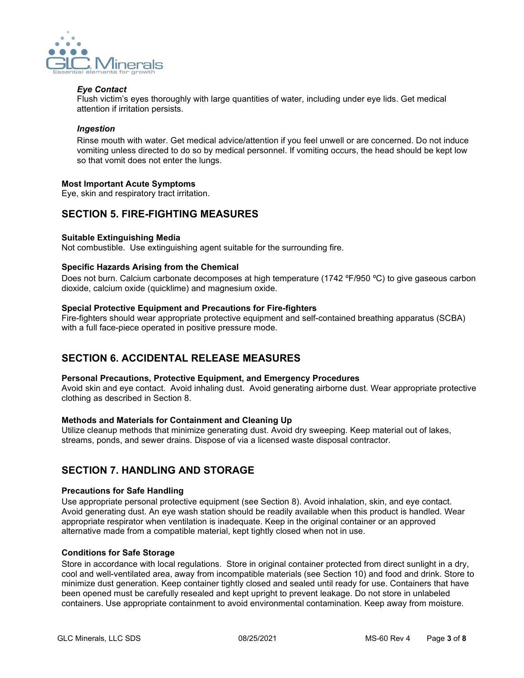

### *Eye Contact*

Flush victim's eyes thoroughly with large quantities of water, including under eye lids. Get medical attention if irritation persists.

### *Ingestion*

Rinse mouth with water. Get medical advice/attention if you feel unwell or are concerned. Do not induce vomiting unless directed to do so by medical personnel. If vomiting occurs, the head should be kept low so that vomit does not enter the lungs.

### **Most Important Acute Symptoms**

Eye, skin and respiratory tract irritation.

# **SECTION 5. FIRE-FIGHTING MEASURES**

### **Suitable Extinguishing Media**

Not combustible. Use extinguishing agent suitable for the surrounding fire.

### **Specific Hazards Arising from the Chemical**

Does not burn. Calcium carbonate decomposes at high temperature (1742 ºF/950 ºC) to give gaseous carbon dioxide, calcium oxide (quicklime) and magnesium oxide.

### **Special Protective Equipment and Precautions for Fire-fighters**

Fire-fighters should wear appropriate protective equipment and self-contained breathing apparatus (SCBA) with a full face-piece operated in positive pressure mode.

# **SECTION 6. ACCIDENTAL RELEASE MEASURES**

### **Personal Precautions, Protective Equipment, and Emergency Procedures**

Avoid skin and eye contact. Avoid inhaling dust. Avoid generating airborne dust. Wear appropriate protective clothing as described in Section 8.

### **Methods and Materials for Containment and Cleaning Up**

Utilize cleanup methods that minimize generating dust. Avoid dry sweeping. Keep material out of lakes, streams, ponds, and sewer drains. Dispose of via a licensed waste disposal contractor.

## **SECTION 7. HANDLING AND STORAGE**

## **Precautions for Safe Handling**

Use appropriate personal protective equipment (see Section 8). Avoid inhalation, skin, and eye contact. Avoid generating dust. An eye wash station should be readily available when this product is handled. Wear appropriate respirator when ventilation is inadequate. Keep in the original container or an approved alternative made from a compatible material, kept tightly closed when not in use.

### **Conditions for Safe Storage**

Store in accordance with local regulations. Store in original container protected from direct sunlight in a dry, cool and well-ventilated area, away from incompatible materials (see Section 10) and food and drink. Store to minimize dust generation. Keep container tightly closed and sealed until ready for use. Containers that have been opened must be carefully resealed and kept upright to prevent leakage. Do not store in unlabeled containers. Use appropriate containment to avoid environmental contamination. Keep away from moisture.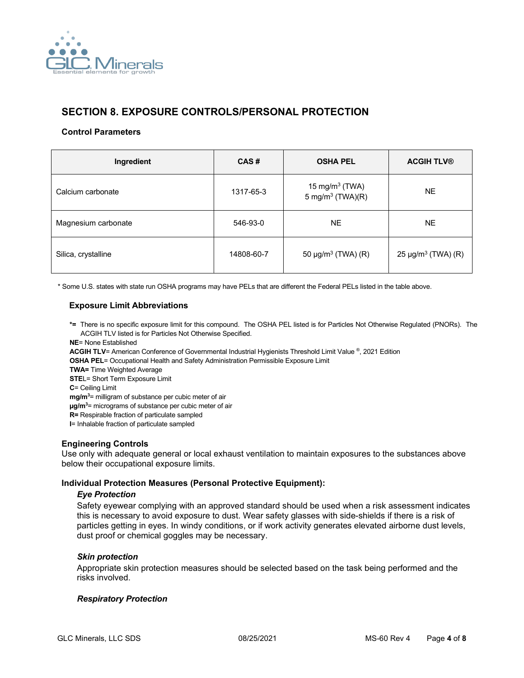

# **SECTION 8. EXPOSURE CONTROLS/PERSONAL PROTECTION**

### **Control Parameters**

| Ingredient          | CAS#       | <b>OSHA PEL</b>                                   | <b>ACGIH TLV®</b>                   |
|---------------------|------------|---------------------------------------------------|-------------------------------------|
| Calcium carbonate   | 1317-65-3  | 15 mg/m $3$ (TWA)<br>5 mg/m <sup>3</sup> (TWA)(R) | NE.                                 |
| Magnesium carbonate | 546-93-0   | <b>NE</b>                                         | <b>NE</b>                           |
| Silica, crystalline | 14808-60-7 | 50 $\mu$ g/m <sup>3</sup> (TWA) (R)               | 25 $\mu$ g/m <sup>3</sup> (TWA) (R) |

\* Some U.S. states with state run OSHA programs may have PELs that are different the Federal PELs listed in the table above.

### **Exposure Limit Abbreviations**

- **\*=** There is no specific exposure limit for this compound. The OSHA PEL listed is for Particles Not Otherwise Regulated (PNORs). The ACGIH TLV listed is for Particles Not Otherwise Specified.
- **NE**= None Established

**ACGIH TLV**= American Conference of Governmental Industrial Hygienists Threshold Limit Value ®, 2021 Edition

**OSHA PEL**= Occupational Health and Safety Administration Permissible Exposure Limit

**TWA=** Time Weighted Average

**STE**L= Short Term Exposure Limit

**C**= Ceiling Limit

**mg/m3** = milligram of substance per cubic meter of air

**µg/m3** = micrograms of substance per cubic meter of air

**R=** Respirable fraction of particulate sampled

**I**= Inhalable fraction of particulate sampled

### **Engineering Controls**

Use only with adequate general or local exhaust ventilation to maintain exposures to the substances above below their occupational exposure limits.

### **Individual Protection Measures (Personal Protective Equipment):**

### *Eye Protection*

Safety eyewear complying with an approved standard should be used when a risk assessment indicates this is necessary to avoid exposure to dust. Wear safety glasses with side-shields if there is a risk of particles getting in eyes. In windy conditions, or if work activity generates elevated airborne dust levels, dust proof or chemical goggles may be necessary.

### *Skin protection*

Appropriate skin protection measures should be selected based on the task being performed and the risks involved.

### *Respiratory Protection*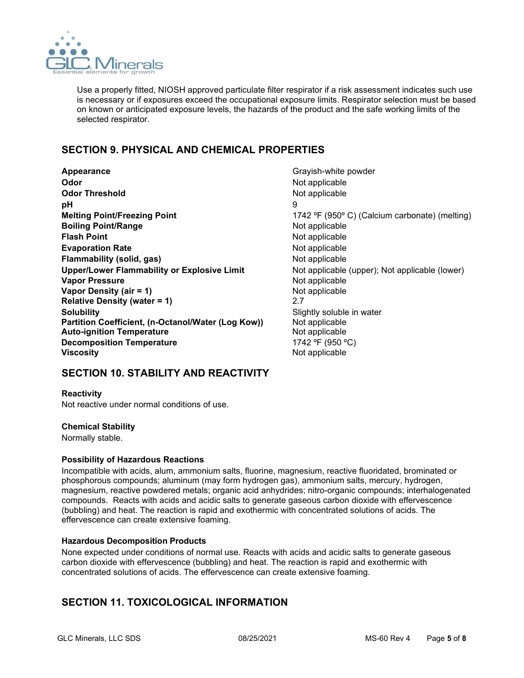

Use a properly fitted, NIOSH approved particulate filter respirator if a risk assessment indicates such use is necessary or if exposures exceed the occupational exposure limits. Respirator selection must be based on known or anticipated exposure levels, the hazards of the product and the safe working limits of the selected respirator.

# **SECTION 9. PHYSICAL AND CHEMICAL PROPERTIES**

**Appearance Grayish-white powder Grayish-white powder Odor** Not applicable **Odor Threshold** Not applicable **pH** 9 **Melting Point/Freezing Point** 1742 °F (950° C) (Calcium carbonate) (melting) **Boiling Point/Range** Not applicable **Flash Point** Not applicable Not applicable not applicable not applicable not applicable not applicable not applicable not applicable not applicable not applicable not applicable not applicable not applicable not applicabl **Evaporation Rate Not applicable** Not applicable **Flammability (solid, gas)** Not applicable **Upper/Lower Flammability or Explosive Limit** Not applicable (upper); Not applicable (lower) **Vapor Pressure** Not applicable Not applicable **Vapor Density (air = 1)** Not applicable<br> **Relative Density (water = 1)** 2.7 **Relative Density (water = 1)** 2.7 **Solubility**<br> **Partition Coefficient, (n-Octanol/Water (Log Kow))** Slightly soluble in water **Partition Coefficient, (n-Octanol/Water (Log Kow)) Auto-ignition Temperature** Not applicable **Decomposition Temperature** 1742 °F (950 °C)<br> **Viscosity** 1742 Mot applicable

**Not applicable** 

# **SECTION 10. STABILITY AND REACTIVITY**

**Reactivity** Not reactive under normal conditions of use.

## **Chemical Stability**

Normally stable.

### **Possibility of Hazardous Reactions**

Incompatible with acids, alum, ammonium salts, fluorine, magnesium, reactive fluoridated, brominated or phosphorous compounds; aluminum (may form hydrogen gas), ammonium salts, mercury, hydrogen, magnesium, reactive powdered metals; organic acid anhydrides; nitro-organic compounds; interhalogenated compounds. Reacts with acids and acidic salts to generate gaseous carbon dioxide with effervescence (bubbling) and heat. The reaction is rapid and exothermic with concentrated solutions of acids. The effervescence can create extensive foaming.

### **Hazardous Decomposition Products**

None expected under conditions of normal use. Reacts with acids and acidic salts to generate gaseous carbon dioxide with effervescence (bubbling) and heat. The reaction is rapid and exothermic with concentrated solutions of acids. The effervescence can create extensive foaming.

# **SECTION 11. TOXICOLOGICAL INFORMATION**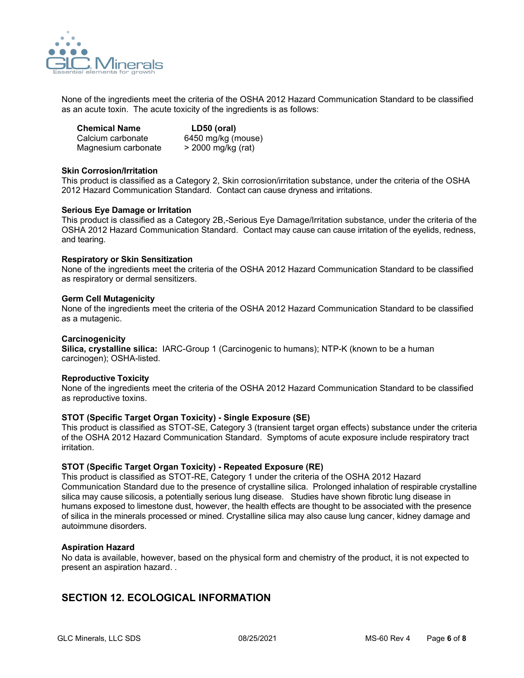

None of the ingredients meet the criteria of the OSHA 2012 Hazard Communication Standard to be classified as an acute toxin. The acute toxicity of the ingredients is as follows:

| <b>Chemical Name</b> | LD50 (oral)        |
|----------------------|--------------------|
| Calcium carbonate    | 6450 mg/kg (mouse) |
| Magnesium carbonate  | > 2000 mg/kg (rat) |

### **Skin Corrosion/Irritation**

This product is classified as a Category 2, Skin corrosion/irritation substance, under the criteria of the OSHA 2012 Hazard Communication Standard. Contact can cause dryness and irritations.

### **Serious Eye Damage or Irritation**

This product is classified as a Category 2B,-Serious Eye Damage/Irritation substance, under the criteria of the OSHA 2012 Hazard Communication Standard. Contact may cause can cause irritation of the eyelids, redness, and tearing.

#### **Respiratory or Skin Sensitization**

None of the ingredients meet the criteria of the OSHA 2012 Hazard Communication Standard to be classified as respiratory or dermal sensitizers.

#### **Germ Cell Mutagenicity**

None of the ingredients meet the criteria of the OSHA 2012 Hazard Communication Standard to be classified as a mutagenic.

#### **Carcinogenicity**

**Silica, crystalline silica:** IARC-Group 1 (Carcinogenic to humans); NTP-K (known to be a human carcinogen); OSHA-listed.

### **Reproductive Toxicity**

None of the ingredients meet the criteria of the OSHA 2012 Hazard Communication Standard to be classified as reproductive toxins.

### **STOT (Specific Target Organ Toxicity) - Single Exposure (SE)**

This product is classified as STOT-SE, Category 3 (transient target organ effects) substance under the criteria of the OSHA 2012 Hazard Communication Standard. Symptoms of acute exposure include respiratory tract irritation.

### **STOT (Specific Target Organ Toxicity) - Repeated Exposure (RE)**

This product is classified as STOT-RE, Category 1 under the criteria of the OSHA 2012 Hazard Communication Standard due to the presence of crystalline silica. Prolonged inhalation of respirable crystalline silica may cause silicosis, a potentially serious lung disease. Studies have shown fibrotic lung disease in humans exposed to limestone dust, however, the health effects are thought to be associated with the presence of silica in the minerals processed or mined. Crystalline silica may also cause lung cancer, kidney damage and autoimmune disorders.

### **Aspiration Hazard**

No data is available, however, based on the physical form and chemistry of the product, it is not expected to present an aspiration hazard. .

## **SECTION 12. ECOLOGICAL INFORMATION**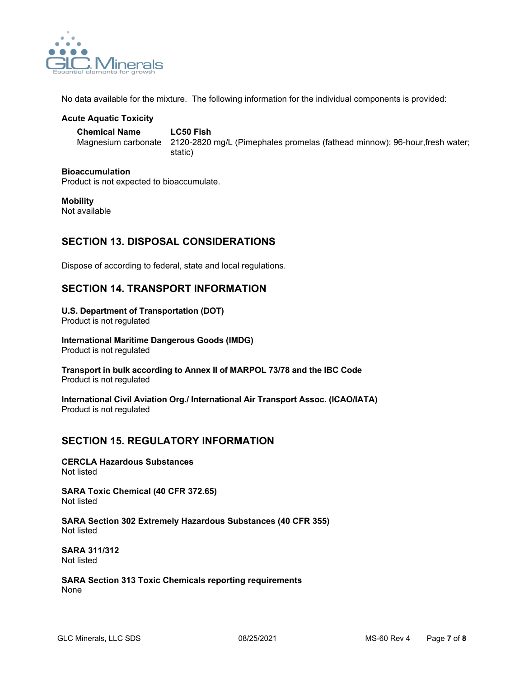

No data available for the mixture. The following information for the individual components is provided:

### **Acute Aquatic Toxicity**

**Chemical Name LC50 Fish** 

Magnesium carbonate 2120-2820 mg/L (Pimephales promelas (fathead minnow); 96-hour,fresh water; static)

### **Bioaccumulation**

Product is not expected to bioaccumulate.

## **Mobility**

Not available

# **SECTION 13. DISPOSAL CONSIDERATIONS**

Dispose of according to federal, state and local regulations.

# **SECTION 14. TRANSPORT INFORMATION**

## **U.S. Department of Transportation (DOT)**

Product is not regulated

#### **International Maritime Dangerous Goods (IMDG)** Product is not regulated

**Transport in bulk according to Annex II of MARPOL 73/78 and the IBC Code** Product is not regulated

**International Civil Aviation Org./ International Air Transport Assoc. (ICAO/IATA)** Product is not regulated

# **SECTION 15. REGULATORY INFORMATION**

**CERCLA Hazardous Substances** Not listed

**SARA Toxic Chemical (40 CFR 372.65)** Not listed

**SARA Section 302 Extremely Hazardous Substances (40 CFR 355)** Not listed

**SARA 311/312** Not listed

**SARA Section 313 Toxic Chemicals reporting requirements** None